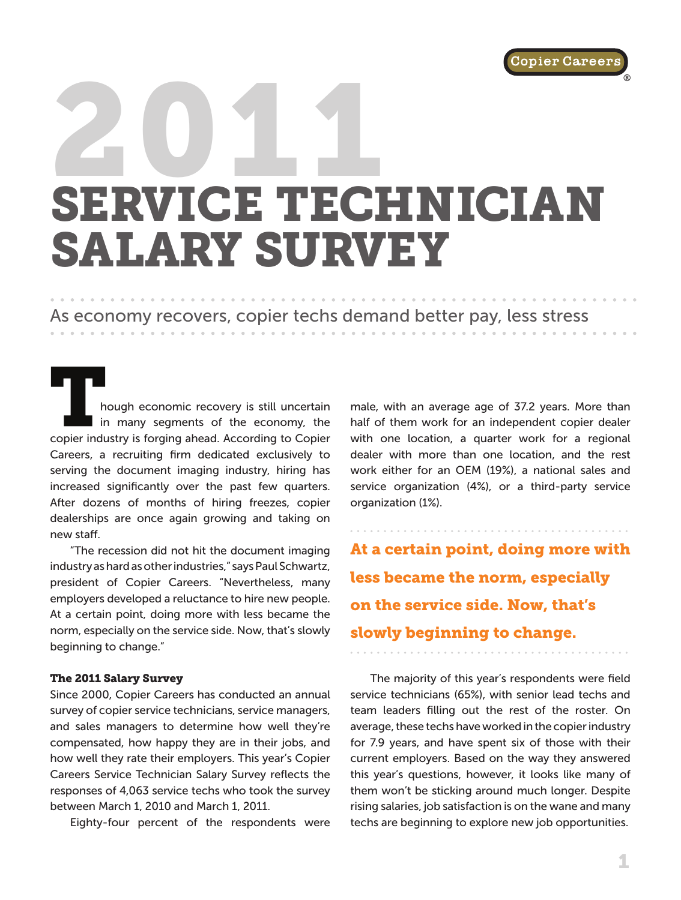[®](www.copiercareers.com)

# 2011 SERVICE TECHNICIAN SALARY SURVEY

## As economy recovers, copier techs demand better pay, less stress

hough economic recovery is still uncertain in many segments of the economy, the copier industry is forging ahead. According to Copier Careers, a recruiting firm dedicated exclusively to serving the document imaging industry, hiring has increased significantly over the past few quarters. After dozens of months of hiring freezes, copier dealerships are once again growing and taking on new staff.

"The recession did not hit the document imaging industry as hard as other industries," says Paul Schwartz, president of Copier Careers. "Nevertheless, many employers developed a reluctance to hire new people. At a certain point, doing more with less became the norm, especially on the service side. Now, that's slowly beginning to change."

#### The 2011 Salary Survey

Since 2000, Copier Careers has conducted an annual survey of copier service technicians, service managers, and sales managers to determine how well they're compensated, how happy they are in their jobs, and how well they rate their employers. This year's Copier Careers Service Technician Salary Survey reflects the responses of 4,063 service techs who took the survey between March 1, 2010 and March 1, 2011.

Eighty-four percent of the respondents were

male, with an average age of 37.2 years. More than half of them work for an independent copier dealer with one location, a quarter work for a regional dealer with more than one location, and the rest work either for an OEM (19%), a national sales and service organization (4%), or a third-party service organization (1%).

At a certain point, doing more with less became the norm, especially on the service side. Now, that's slowly beginning to change.

The majority of this year's respondents were field service technicians (65%), with senior lead techs and team leaders filling out the rest of the roster. On average, these techs have worked in the copier industry for 7.9 years, and have spent six of those with their current employers. Based on the way they answered this year's questions, however, it looks like many of them won't be sticking around much longer. Despite rising salaries, job satisfaction is on the wane and many techs are beginning to explore new job opportunities.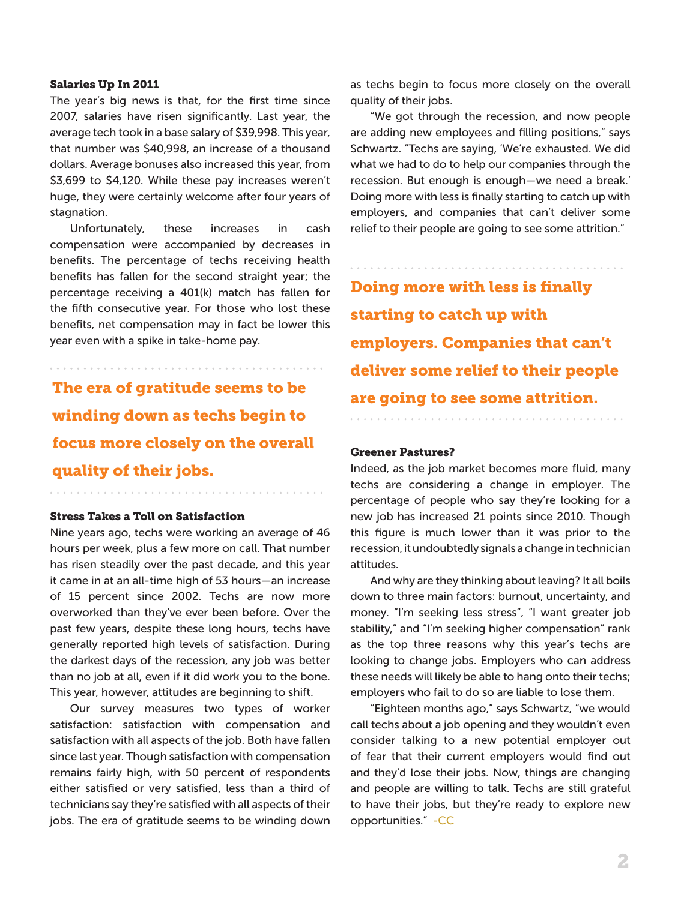#### Salaries Up In 2011

The year's big news is that, for the first time since 2007, salaries have risen significantly. Last year, the average tech took in a base salary of \$39,998. This year, that number was \$40,998, an increase of a thousand dollars. Average bonuses also increased this year, from \$3,699 to \$4,120. While these pay increases weren't huge, they were certainly welcome after four years of stagnation.

Unfortunately, these increases in cash compensation were accompanied by decreases in benefits. The percentage of techs receiving health benefits has fallen for the second straight year; the percentage receiving a 401(k) match has fallen for the fifth consecutive year. For those who lost these benefits, net compensation may in fact be lower this year even with a spike in take-home pay.

The era of gratitude seems to be are going to see some attrition. winding down as techs begin to focus more closely on the overall quality of their jobs.

#### Stress Takes a Toll on Satisfaction

Nine years ago, techs were working an average of 46 hours per week, plus a few more on call. That number has risen steadily over the past decade, and this year it came in at an all-time high of 53 hours—an increase of 15 percent since 2002. Techs are now more overworked than they've ever been before. Over the past few years, despite these long hours, techs have generally reported high levels of satisfaction. During the darkest days of the recession, any job was better than no job at all, even if it did work you to the bone. This year, however, attitudes are beginning to shift.

Our survey measures two types of worker satisfaction: satisfaction with compensation and satisfaction with all aspects of the job. Both have fallen since last year. Though satisfaction with compensation remains fairly high, with 50 percent of respondents either satisfied or very satisfied, less than a third of technicians say they're satisfied with all aspects of their jobs. The era of gratitude seems to be winding down as techs begin to focus more closely on the overall quality of their jobs.

"We got through the recession, and now people are adding new employees and filling positions," says Schwartz. "Techs are saying, 'We're exhausted. We did what we had to do to help our companies through the recession. But enough is enough—we need a break.' Doing more with less is finally starting to catch up with employers, and companies that can't deliver some relief to their people are going to see some attrition."

Doing more with less is finally starting to catch up with employers. Companies that can't deliver some relief to their people

#### Greener Pastures?

Indeed, as the job market becomes more fluid, many techs are considering a change in employer. The percentage of people who say they're looking for a new job has increased 21 points since 2010. Though this figure is much lower than it was prior to the recession, it undoubtedly signals a change in technician attitudes.

And why are they thinking about leaving? It all boils down to three main factors: burnout, uncertainty, and money. "I'm seeking less stress", "I want greater job stability," and "I'm seeking higher compensation" rank as the top three reasons why this year's techs are looking to change jobs. Employers who can address these needs will likely be able to hang onto their techs; employers who fail to do so are liable to lose them.

"Eighteen months ago," says Schwartz, "we would call techs about a job opening and they wouldn't even consider talking to a new potential employer out of fear that their current employers would find out and they'd lose their jobs. Now, things are changing and people are willing to talk. Techs are still grateful to have their jobs, but they're ready to explore new opportunities." -CC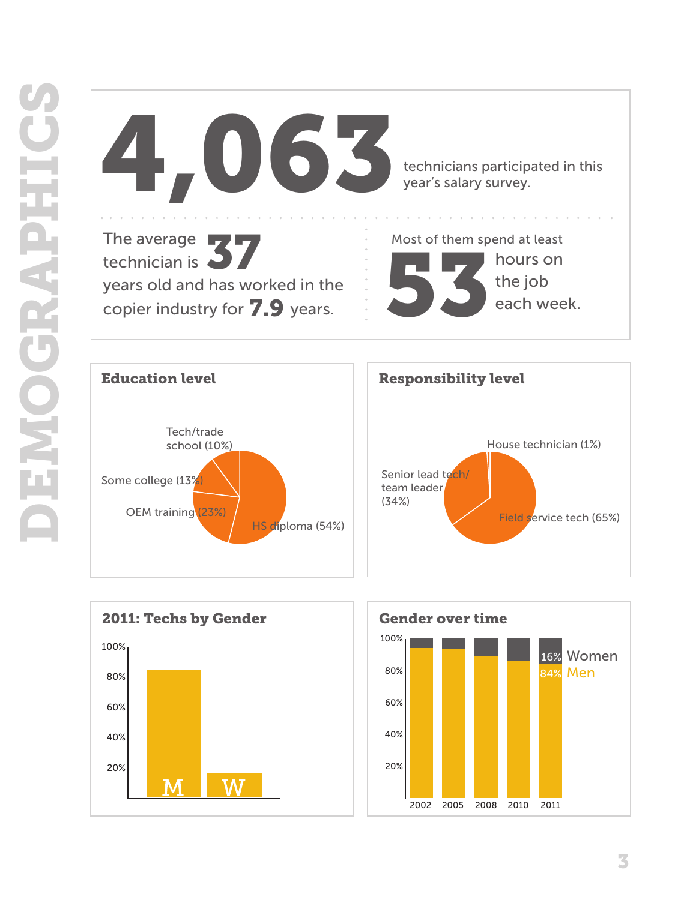







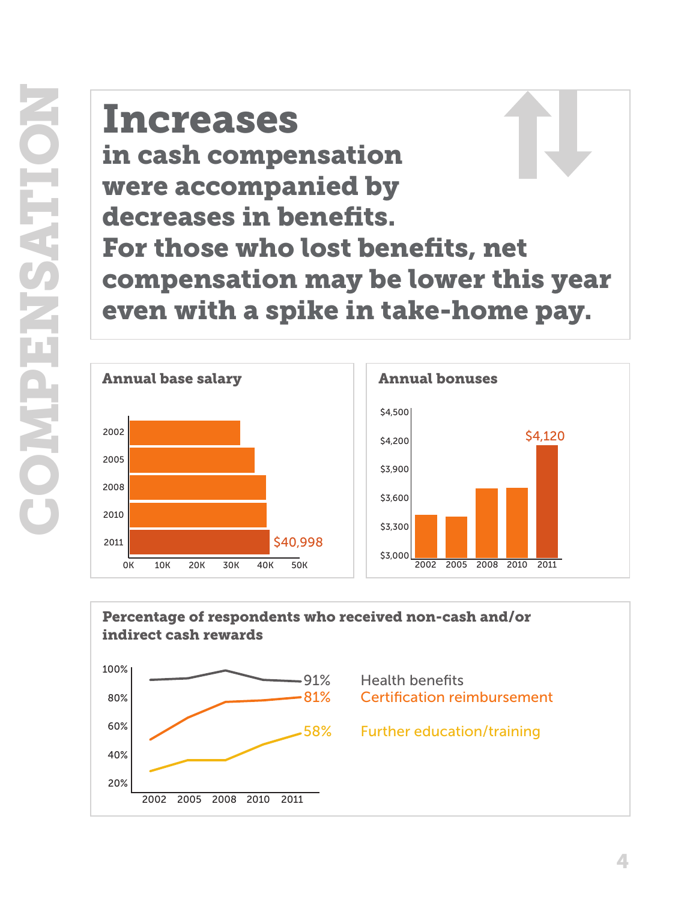# Increases in cash compensation were accompanied by decreases in benefits. For those who lost benefits, net compensation may be lower this year even with a spike in take-home pay.



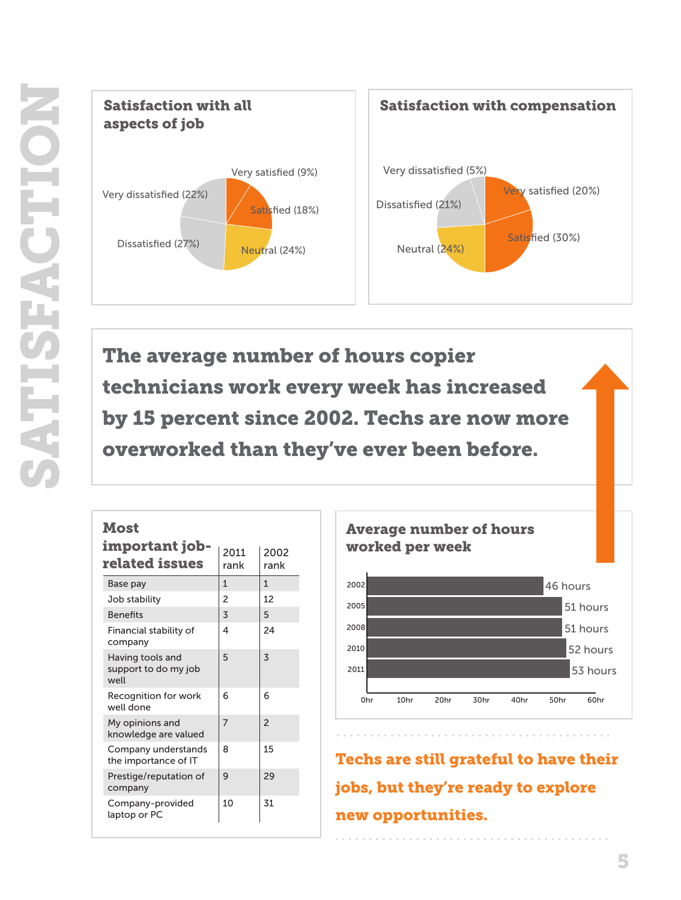

The average number of hours copier technicians work every week has increased by 15 percent since 2002. Techs are now more overworked than they've ever been before.

| Most |           |  |
|------|-----------|--|
|      | important |  |
|      |           |  |

| important job-<br>related issues                 | 2011<br>rank | 2002<br>rank   |
|--------------------------------------------------|--------------|----------------|
| Base pay                                         | 1            | 1              |
| Job stability                                    | 2            | 12             |
| <b>Benefits</b>                                  | 3            | 5              |
| Financial stability of<br>company                | 4            | 24             |
| Having tools and<br>support to do my job<br>well | 5            | 3              |
| Recognition for work<br>well done                | 6            | 6              |
| My opinions and<br>knowledge are valued          | 7            | $\overline{2}$ |
| Company understands<br>the importance of IT      | 8            | 15             |
| Prestige/reputation of<br>company                | 9            | 29             |
| Company-provided<br>laptop or PC                 | 10           | 31             |



Techs are still grateful to have their jobs, but they're ready to explore new opportunities.